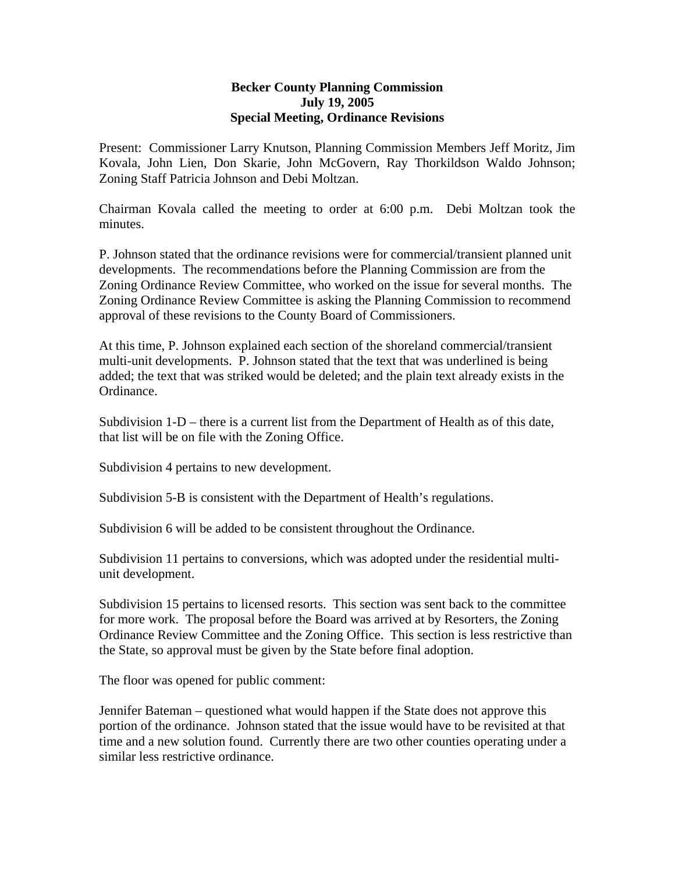## **Becker County Planning Commission July 19, 2005 Special Meeting, Ordinance Revisions**

Present: Commissioner Larry Knutson, Planning Commission Members Jeff Moritz, Jim Kovala, John Lien, Don Skarie, John McGovern, Ray Thorkildson Waldo Johnson; Zoning Staff Patricia Johnson and Debi Moltzan.

Chairman Kovala called the meeting to order at 6:00 p.m. Debi Moltzan took the minutes.

P. Johnson stated that the ordinance revisions were for commercial/transient planned unit developments. The recommendations before the Planning Commission are from the Zoning Ordinance Review Committee, who worked on the issue for several months. The Zoning Ordinance Review Committee is asking the Planning Commission to recommend approval of these revisions to the County Board of Commissioners.

At this time, P. Johnson explained each section of the shoreland commercial/transient multi-unit developments. P. Johnson stated that the text that was underlined is being added; the text that was striked would be deleted; and the plain text already exists in the Ordinance.

Subdivision 1-D – there is a current list from the Department of Health as of this date, that list will be on file with the Zoning Office.

Subdivision 4 pertains to new development.

Subdivision 5-B is consistent with the Department of Health's regulations.

Subdivision 6 will be added to be consistent throughout the Ordinance.

Subdivision 11 pertains to conversions, which was adopted under the residential multiunit development.

Subdivision 15 pertains to licensed resorts. This section was sent back to the committee for more work. The proposal before the Board was arrived at by Resorters, the Zoning Ordinance Review Committee and the Zoning Office. This section is less restrictive than the State, so approval must be given by the State before final adoption.

The floor was opened for public comment:

Jennifer Bateman – questioned what would happen if the State does not approve this portion of the ordinance. Johnson stated that the issue would have to be revisited at that time and a new solution found. Currently there are two other counties operating under a similar less restrictive ordinance.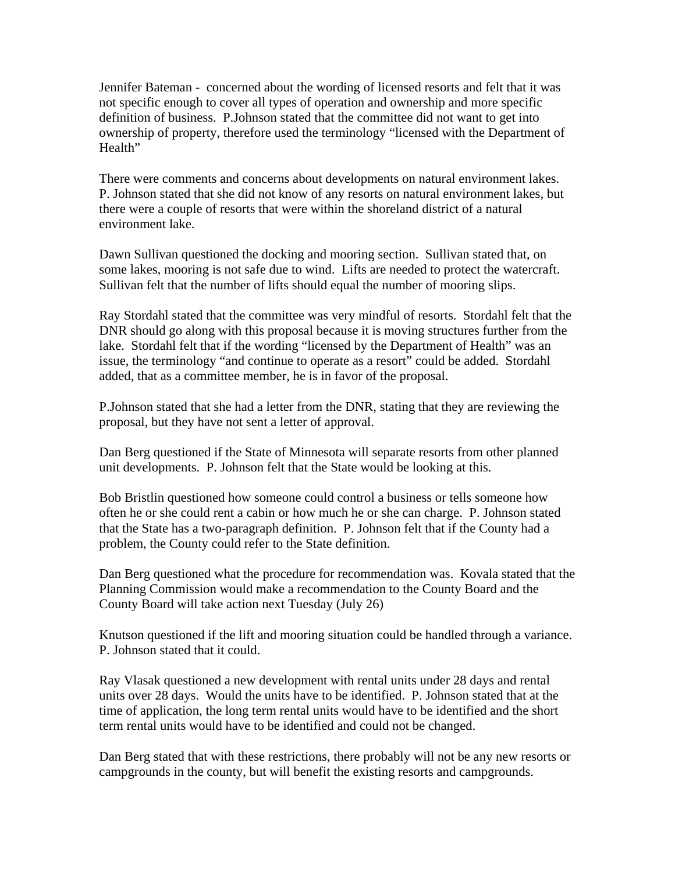Jennifer Bateman - concerned about the wording of licensed resorts and felt that it was not specific enough to cover all types of operation and ownership and more specific definition of business. P.Johnson stated that the committee did not want to get into ownership of property, therefore used the terminology "licensed with the Department of Health"

There were comments and concerns about developments on natural environment lakes. P. Johnson stated that she did not know of any resorts on natural environment lakes, but there were a couple of resorts that were within the shoreland district of a natural environment lake.

Dawn Sullivan questioned the docking and mooring section. Sullivan stated that, on some lakes, mooring is not safe due to wind. Lifts are needed to protect the watercraft. Sullivan felt that the number of lifts should equal the number of mooring slips.

Ray Stordahl stated that the committee was very mindful of resorts. Stordahl felt that the DNR should go along with this proposal because it is moving structures further from the lake. Stordahl felt that if the wording "licensed by the Department of Health" was an issue, the terminology "and continue to operate as a resort" could be added. Stordahl added, that as a committee member, he is in favor of the proposal.

P.Johnson stated that she had a letter from the DNR, stating that they are reviewing the proposal, but they have not sent a letter of approval.

Dan Berg questioned if the State of Minnesota will separate resorts from other planned unit developments. P. Johnson felt that the State would be looking at this.

Bob Bristlin questioned how someone could control a business or tells someone how often he or she could rent a cabin or how much he or she can charge. P. Johnson stated that the State has a two-paragraph definition. P. Johnson felt that if the County had a problem, the County could refer to the State definition.

Dan Berg questioned what the procedure for recommendation was. Kovala stated that the Planning Commission would make a recommendation to the County Board and the County Board will take action next Tuesday (July 26)

Knutson questioned if the lift and mooring situation could be handled through a variance. P. Johnson stated that it could.

Ray Vlasak questioned a new development with rental units under 28 days and rental units over 28 days. Would the units have to be identified. P. Johnson stated that at the time of application, the long term rental units would have to be identified and the short term rental units would have to be identified and could not be changed.

Dan Berg stated that with these restrictions, there probably will not be any new resorts or campgrounds in the county, but will benefit the existing resorts and campgrounds.